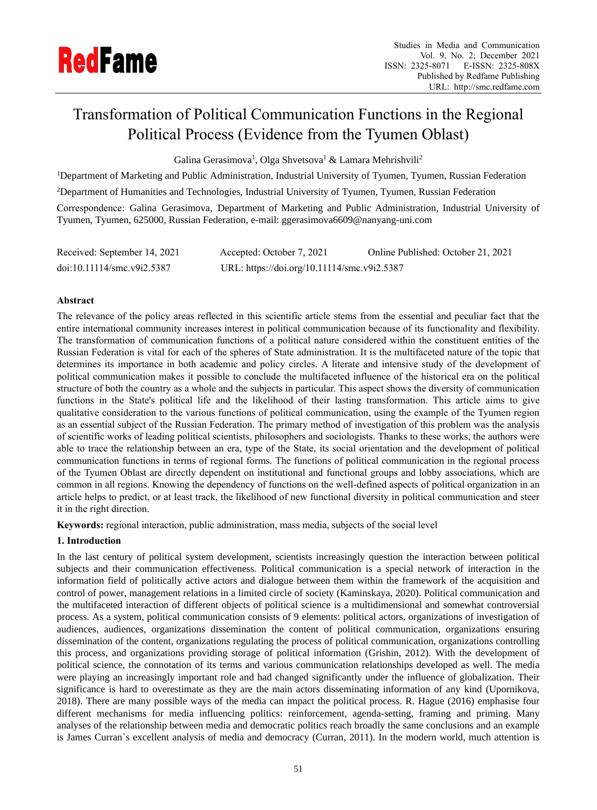

# Transformation of Political Communication Functions in the Regional Political Process (Evidence from the Tyumen Oblast)

Galina Gerasimova<sup>1</sup>, Olga Shvetsova<sup>1</sup> & Lamara Mehrishvili<sup>2</sup>

<sup>1</sup>Department of Marketing and Public Administration, Industrial University of Tyumen, Tyumen, Russian Federation

<sup>2</sup>Department of Humanities and Technologies, Industrial University of Tyumen, Tyumen, Russian Federation

Correspondence: Galina Gerasimova, Department of Marketing and Public Administration, Industrial University of Tyumen, Tyumen, 625000, Russian Federation, e-mail: ggerasimova6609@nanyang-uni.com

| Received: September 14, 2021 | Accepted: October 7, 2021                   | Online Published: October 21, 2021 |
|------------------------------|---------------------------------------------|------------------------------------|
| doi:10.11114/smc.v9i2.5387   | URL: https://doi.org/10.11114/smc.v9i2.5387 |                                    |

# **Abstract**

The relevance of the policy areas reflected in this scientific article stems from the essential and peculiar fact that the entire international community increases interest in political communication because of its functionality and flexibility. The transformation of communication functions of a political nature considered within the constituent entities of the Russian Federation is vital for each of the spheres of State administration. It is the multifaceted nature of the topic that determines its importance in both academic and policy circles. A literate and intensive study of the development of political communication makes it possible to conclude the multifaceted influence of the historical era on the political structure of both the country as a whole and the subjects in particular. This aspect shows the diversity of communication functions in the State's political life and the likelihood of their lasting transformation. This article aims to give qualitative consideration to the various functions of political communication, using the example of the Tyumen region as an essential subject of the Russian Federation. The primary method of investigation of this problem was the analysis of scientific works of leading political scientists, philosophers and sociologists. Thanks to these works, the authors were able to trace the relationship between an era, type of the State, its social orientation and the development of political communication functions in terms of regional forms. The functions of political communication in the regional process of the Tyumen Oblast are directly dependent on institutional and functional groups and lobby associations, which are common in all regions. Knowing the dependency of functions on the well-defined aspects of political organization in an article helps to predict, or at least track, the likelihood of new functional diversity in political communication and steer it in the right direction.

**Keywords:** regional interaction, public administration, mass media, subjects of the social level

# **1. Introduction**

In the last century of political system development, scientists increasingly question the interaction between political subjects and their communication effectiveness. Political communication is a special network of interaction in the information field of politically active actors and dialogue between them within the framework of the acquisition and control of power, management relations in a limited circle of society (Kaminskaya, 2020). Political communication and the multifaceted interaction of different objects of political science is a multidimensional and somewhat controversial process. As a system, political communication consists of 9 elements: political actors, organizations of investigation of audiences, audiences, organizations dissemination the content of political communication, organizations ensuring dissemination of the content, organizations regulating the process of political communication, organizations controlling this process, and organizations providing storage of political information (Grishin, 2012). With the development of political science, the connotation of its terms and various communication relationships developed as well. The media were playing an increasingly important role and had changed significantly under the influence of globalization. Their significance is hard to overestimate as they are the main actors disseminating information of any kind (Upornikova, 2018). There are many possible ways of the media can impact the political process. R. Hague (2016) emphasise four different mechanisms for media influencing politics: reinforcement, agenda-setting, framing and priming. Many analyses of the relationship between media and democratic politics reach broadly the same conclusions and an example is James Curran`s excellent analysis of media and democracy (Curran, 2011). In the modern world, much attention is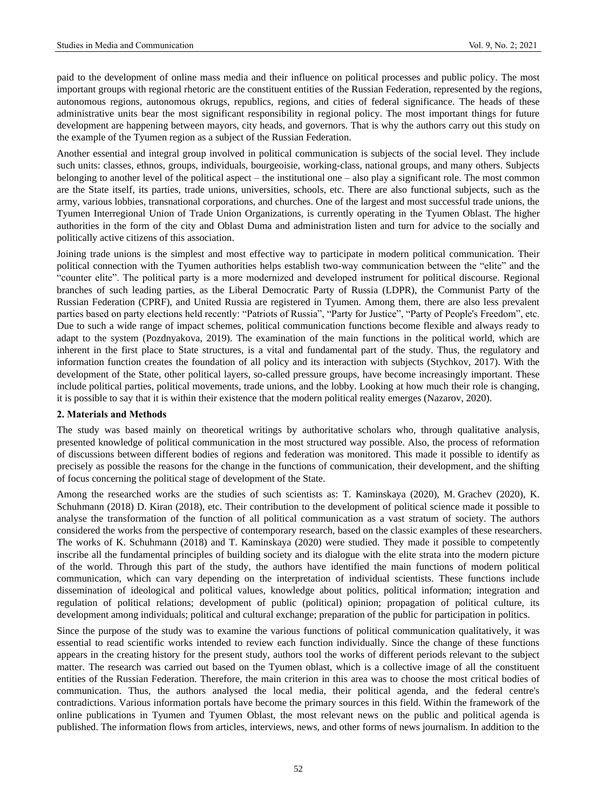paid to the development of online mass media and their influence on political processes and public policy. The most important groups with regional rhetoric are the constituent entities of the Russian Federation, represented by the regions, autonomous regions, autonomous okrugs, republics, regions, and cities of federal significance. The heads of these administrative units bear the most significant responsibility in regional policy. The most important things for future development are happening between mayors, city heads, and governors. That is why the authors carry out this study on the example of the Tyumen region as a subject of the Russian Federation.

Another essential and integral group involved in political communication is subjects of the social level. They include such units: classes, ethnos, groups, individuals, bourgeoisie, working-class, national groups, and many others. Subjects belonging to another level of the political aspect – the institutional one – also play a significant role. The most common are the State itself, its parties, trade unions, universities, schools, etc. There are also functional subjects, such as the army, various lobbies, transnational corporations, and churches. One of the largest and most successful trade unions, the Tyumen Interregional Union of Trade Union Organizations, is currently operating in the Tyumen Oblast. The higher authorities in the form of the city and Oblast Duma and administration listen and turn for advice to the socially and politically active citizens of this association.

Joining trade unions is the simplest and most effective way to participate in modern political communication. Their political connection with the Tyumen authorities helps establish two-way communication between the "elite" and the "counter elite". The political party is a more modernized and developed instrument for political discourse. Regional branches of such leading parties, as the Liberal Democratic Party of Russia (LDPR), the Communist Party of the Russian Federation (CPRF), and United Russia are registered in Tyumen. Among them, there are also less prevalent parties based on party elections held recently: "Patriots of Russia", "Party for Justice", "Party of People's Freedom", etc. Due to such a wide range of impact schemes, political communication functions become flexible and always ready to adapt to the system (Pozdnyakova, 2019). The examination of the main functions in the political world, which are inherent in the first place to State structures, is a vital and fundamental part of the study. Thus, the regulatory and information function creates the foundation of all policy and its interaction with subjects (Stychkov, 2017). With the development of the State, other political layers, so-called pressure groups, have become increasingly important. These include political parties, political movements, trade unions, and the lobby. Looking at how much their role is changing, it is possible to say that it is within their existence that the modern political reality emerges (Nazarov, 2020).

## **2. Materials and Methods**

The study was based mainly on theoretical writings by authoritative scholars who, through qualitative analysis, presented knowledge of political communication in the most structured way possible. Also, the process of reformation of discussions between different bodies of regions and federation was monitored. This made it possible to identify as precisely as possible the reasons for the change in the functions of communication, their development, and the shifting of focus concerning the political stage of development of the State.

Among the researched works are the studies of such scientists as: T. Kaminskaya (2020), M. Grachev (2020), K. Schuhmann (2018) D. Kiran (2018), etc. Their contribution to the development of political science made it possible to analyse the transformation of the function of all political communication as a vast stratum of society. The authors considered the works from the perspective of contemporary research, based on the classic examples of these researchers. The works of K. Schuhmann (2018) and T. Kaminskaya (2020) were studied. They made it possible to competently inscribe all the fundamental principles of building society and its dialogue with the elite strata into the modern picture of the world. Through this part of the study, the authors have identified the main functions of modern political communication, which can vary depending on the interpretation of individual scientists. These functions include dissemination of ideological and political values, knowledge about politics, political information; integration and regulation of political relations; development of public (political) opinion; propagation of political culture, its development among individuals; political and cultural exchange; preparation of the public for participation in politics.

Since the purpose of the study was to examine the various functions of political communication qualitatively, it was essential to read scientific works intended to review each function individually. Since the change of these functions appears in the creating history for the present study, authors tool the works of different periods relevant to the subject matter. The research was carried out based on the Tyumen oblast, which is a collective image of all the constituent entities of the Russian Federation. Therefore, the main criterion in this area was to choose the most critical bodies of communication. Thus, the authors analysed the local media, their political agenda, and the federal centre's contradictions. Various information portals have become the primary sources in this field. Within the framework of the online publications in Tyumen and Tyumen Oblast, the most relevant news on the public and political agenda is published. The information flows from articles, interviews, news, and other forms of news journalism. In addition to the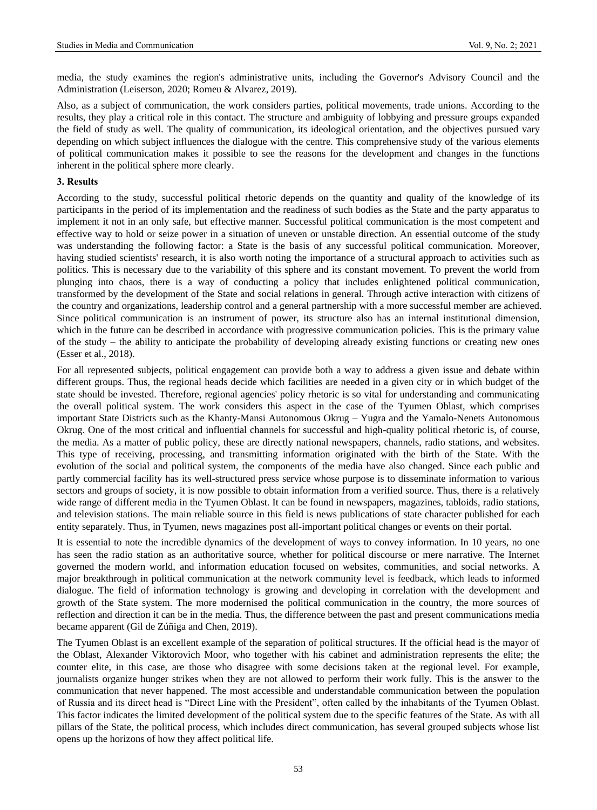media, the study examines the region's administrative units, including the Governor's Advisory Council and the Administration (Leiserson, 2020; Romeu & Alvarez, 2019).

Also, as a subject of communication, the work considers parties, political movements, trade unions. According to the results, they play a critical role in this contact. The structure and ambiguity of lobbying and pressure groups expanded the field of study as well. The quality of communication, its ideological orientation, and the objectives pursued vary depending on which subject influences the dialogue with the centre. This comprehensive study of the various elements of political communication makes it possible to see the reasons for the development and changes in the functions inherent in the political sphere more clearly.

#### **3. Results**

According to the study, successful political rhetoric depends on the quantity and quality of the knowledge of its participants in the period of its implementation and the readiness of such bodies as the State and the party apparatus to implement it not in an only safe, but effective manner. Successful political communication is the most competent and effective way to hold or seize power in a situation of uneven or unstable direction. An essential outcome of the study was understanding the following factor: a State is the basis of any successful political communication. Moreover, having studied scientists' research, it is also worth noting the importance of a structural approach to activities such as politics. This is necessary due to the variability of this sphere and its constant movement. To prevent the world from plunging into chaos, there is a way of conducting a policy that includes enlightened political communication, transformed by the development of the State and social relations in general. Through active interaction with citizens of the country and organizations, leadership control and a general partnership with a more successful member are achieved. Since political communication is an instrument of power, its structure also has an internal institutional dimension, which in the future can be described in accordance with progressive communication policies. This is the primary value of the study – the ability to anticipate the probability of developing already existing functions or creating new ones (Esser et al., 2018).

For all represented subjects, political engagement can provide both a way to address a given issue and debate within different groups. Thus, the regional heads decide which facilities are needed in a given city or in which budget of the state should be invested. Therefore, regional agencies' policy rhetoric is so vital for understanding and communicating the overall political system. The work considers this aspect in the case of the Tyumen Oblast, which comprises important State Districts such as the Khanty-Mansi Autonomous Okrug – Yugra and the Yamalo-Nenets Autonomous Okrug. One of the most critical and influential channels for successful and high-quality political rhetoric is, of course, the media. As a matter of public policy, these are directly national newspapers, channels, radio stations, and websites. This type of receiving, processing, and transmitting information originated with the birth of the State. With the evolution of the social and political system, the components of the media have also changed. Since each public and partly commercial facility has its well-structured press service whose purpose is to disseminate information to various sectors and groups of society, it is now possible to obtain information from a verified source. Thus, there is a relatively wide range of different media in the Tyumen Oblast. It can be found in newspapers, magazines, tabloids, radio stations, and television stations. The main reliable source in this field is news publications of state character published for each entity separately. Thus, in Tyumen, news magazines post all-important political changes or events on their portal.

It is essential to note the incredible dynamics of the development of ways to convey information. In 10 years, no one has seen the radio station as an authoritative source, whether for political discourse or mere narrative. The Internet governed the modern world, and information education focused on websites, communities, and social networks. A major breakthrough in political communication at the network community level is feedback, which leads to informed dialogue. The field of information technology is growing and developing in correlation with the development and growth of the State system. The more modernised the political communication in the country, the more sources of reflection and direction it can be in the media. Thus, the difference between the past and present communications media became apparent (Gil de Zúñiga and Chen, 2019).

The Tyumen Oblast is an excellent example of the separation of political structures. If the official head is the mayor of the Oblast, Alexander Viktorovich Moor, who together with his cabinet and administration represents the elite; the counter elite, in this case, are those who disagree with some decisions taken at the regional level. For example, journalists organize hunger strikes when they are not allowed to perform their work fully. This is the answer to the communication that never happened. The most accessible and understandable communication between the population of Russia and its direct head is "Direct Line with the President", often called by the inhabitants of the Tyumen Oblast. This factor indicates the limited development of the political system due to the specific features of the State. As with all pillars of the State, the political process, which includes direct communication, has several grouped subjects whose list opens up the horizons of how they affect political life.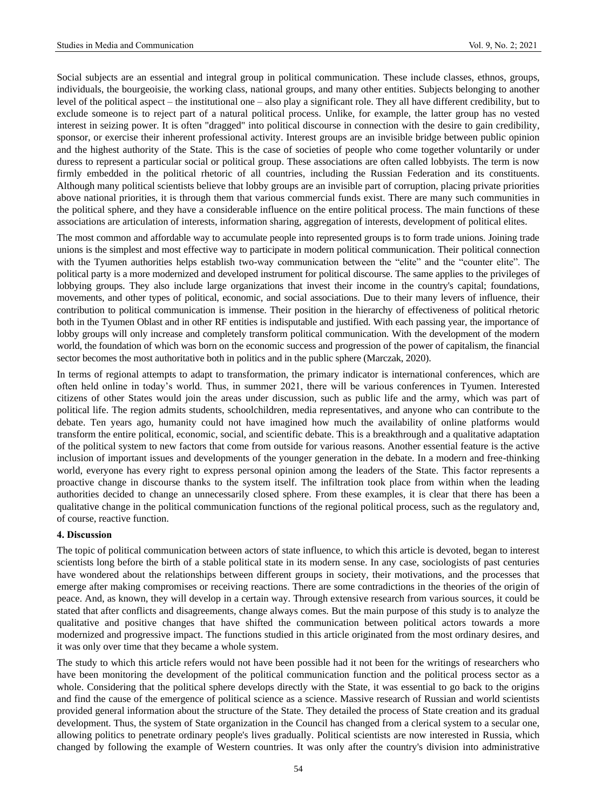Social subjects are an essential and integral group in political communication. These include classes, ethnos, groups, individuals, the bourgeoisie, the working class, national groups, and many other entities. Subjects belonging to another level of the political aspect – the institutional one – also play a significant role. They all have different credibility, but to exclude someone is to reject part of a natural political process. Unlike, for example, the latter group has no vested interest in seizing power. It is often "dragged" into political discourse in connection with the desire to gain credibility, sponsor, or exercise their inherent professional activity. Interest groups are an invisible bridge between public opinion and the highest authority of the State. This is the case of societies of people who come together voluntarily or under duress to represent a particular social or political group. These associations are often called lobbyists. The term is now firmly embedded in the political rhetoric of all countries, including the Russian Federation and its constituents. Although many political scientists believe that lobby groups are an invisible part of corruption, placing private priorities above national priorities, it is through them that various commercial funds exist. There are many such communities in the political sphere, and they have a considerable influence on the entire political process. The main functions of these associations are articulation of interests, information sharing, aggregation of interests, development of political elites.

The most common and affordable way to accumulate people into represented groups is to form trade unions. Joining trade unions is the simplest and most effective way to participate in modern political communication. Their political connection with the Tyumen authorities helps establish two-way communication between the "elite" and the "counter elite". The political party is a more modernized and developed instrument for political discourse. The same applies to the privileges of lobbying groups. They also include large organizations that invest their income in the country's capital; foundations, movements, and other types of political, economic, and social associations. Due to their many levers of influence, their contribution to political communication is immense. Their position in the hierarchy of effectiveness of political rhetoric both in the Tyumen Oblast and in other RF entities is indisputable and justified. With each passing year, the importance of lobby groups will only increase and completely transform political communication. With the development of the modern world, the foundation of which was born on the economic success and progression of the power of capitalism, the financial sector becomes the most authoritative both in politics and in the public sphere (Marczak, 2020).

In terms of regional attempts to adapt to transformation, the primary indicator is international conferences, which are often held online in today's world. Thus, in summer 2021, there will be various conferences in Tyumen. Interested citizens of other States would join the areas under discussion, such as public life and the army, which was part of political life. The region admits students, schoolchildren, media representatives, and anyone who can contribute to the debate. Ten years ago, humanity could not have imagined how much the availability of online platforms would transform the entire political, economic, social, and scientific debate. This is a breakthrough and a qualitative adaptation of the political system to new factors that come from outside for various reasons. Another essential feature is the active inclusion of important issues and developments of the younger generation in the debate. In a modern and free-thinking world, everyone has every right to express personal opinion among the leaders of the State. This factor represents a proactive change in discourse thanks to the system itself. The infiltration took place from within when the leading authorities decided to change an unnecessarily closed sphere. From these examples, it is clear that there has been a qualitative change in the political communication functions of the regional political process, such as the regulatory and, of course, reactive function.

#### **4. Discussion**

The topic of political communication between actors of state influence, to which this article is devoted, began to interest scientists long before the birth of a stable political state in its modern sense. In any case, sociologists of past centuries have wondered about the relationships between different groups in society, their motivations, and the processes that emerge after making compromises or receiving reactions. There are some contradictions in the theories of the origin of peace. And, as known, they will develop in a certain way. Through extensive research from various sources, it could be stated that after conflicts and disagreements, change always comes. But the main purpose of this study is to analyze the qualitative and positive changes that have shifted the communication between political actors towards a more modernized and progressive impact. The functions studied in this article originated from the most ordinary desires, and it was only over time that they became a whole system.

The study to which this article refers would not have been possible had it not been for the writings of researchers who have been monitoring the development of the political communication function and the political process sector as a whole. Considering that the political sphere develops directly with the State, it was essential to go back to the origins and find the cause of the emergence of political science as a science. Massive research of Russian and world scientists provided general information about the structure of the State. They detailed the process of State creation and its gradual development. Thus, the system of State organization in the Council has changed from a clerical system to a secular one, allowing politics to penetrate ordinary people's lives gradually. Political scientists are now interested in Russia, which changed by following the example of Western countries. It was only after the country's division into administrative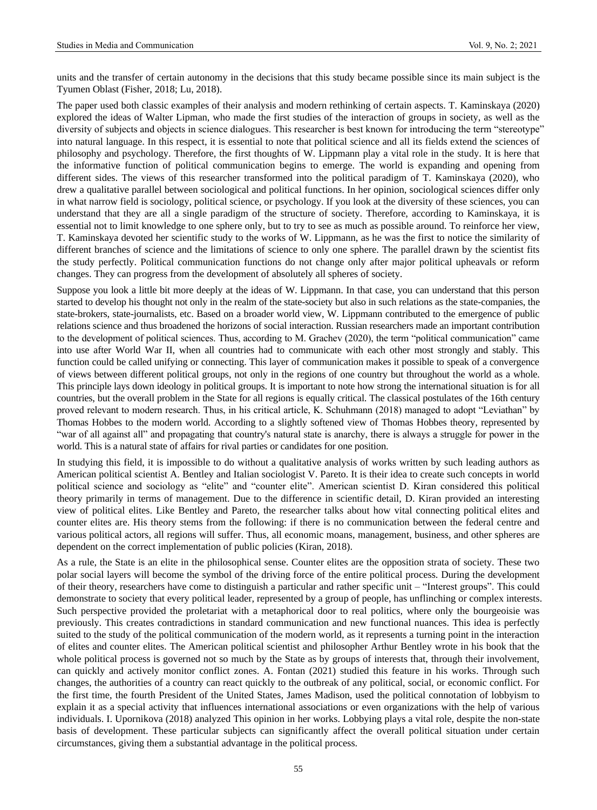units and the transfer of certain autonomy in the decisions that this study became possible since its main subject is the Tyumen Oblast (Fisher, 2018; Lu, 2018).

The paper used both classic examples of their analysis and modern rethinking of certain aspects. T. Kaminskaya (2020) explored the ideas of Walter Lipman, who made the first studies of the interaction of groups in society, as well as the diversity of subjects and objects in science dialogues. This researcher is best known for introducing the term "stereotype" into natural language. In this respect, it is essential to note that political science and all its fields extend the sciences of philosophy and psychology. Therefore, the first thoughts of W. Lippmann play a vital role in the study. It is here that the informative function of political communication begins to emerge. The world is expanding and opening from different sides. The views of this researcher transformed into the political paradigm of T. Kaminskaya (2020), who drew a qualitative parallel between sociological and political functions. In her opinion, sociological sciences differ only in what narrow field is sociology, political science, or psychology. If you look at the diversity of these sciences, you can understand that they are all a single paradigm of the structure of society. Therefore, according to Kaminskaya, it is essential not to limit knowledge to one sphere only, but to try to see as much as possible around. To reinforce her view, T. Kaminskaya devoted her scientific study to the works of W. Lippmann, as he was the first to notice the similarity of different branches of science and the limitations of science to only one sphere. The parallel drawn by the scientist fits the study perfectly. Political communication functions do not change only after major political upheavals or reform changes. They can progress from the development of absolutely all spheres of society.

Suppose you look a little bit more deeply at the ideas of W. Lippmann. In that case, you can understand that this person started to develop his thought not only in the realm of the state-society but also in such relations as the state-companies, the state-brokers, state-journalists, etc. Based on a broader world view, W. Lippmann contributed to the emergence of public relations science and thus broadened the horizons of social interaction. Russian researchers made an important contribution to the development of political sciences. Thus, according to M. Grachev (2020), the term "political communication" came into use after World War II, when all countries had to communicate with each other most strongly and stably. This function could be called unifying or connecting. This layer of communication makes it possible to speak of a convergence of views between different political groups, not only in the regions of one country but throughout the world as a whole. This principle lays down ideology in political groups. It is important to note how strong the international situation is for all countries, but the overall problem in the State for all regions is equally critical. The classical postulates of the 16th century proved relevant to modern research. Thus, in his critical article, K. Schuhmann (2018) managed to adopt "Leviathan" by Thomas Hobbes to the modern world. According to a slightly softened view of Thomas Hobbes theory, represented by "war of all against all" and propagating that country's natural state is anarchy, there is always a struggle for power in the world. This is a natural state of affairs for rival parties or candidates for one position.

In studying this field, it is impossible to do without a qualitative analysis of works written by such leading authors as American political scientist A. Bentley and Italian sociologist V. Pareto. It is their idea to create such concepts in world political science and sociology as "elite" and "counter elite". American scientist D. Kiran considered this political theory primarily in terms of management. Due to the difference in scientific detail, D. Kiran provided an interesting view of political elites. Like Bentley and Pareto, the researcher talks about how vital connecting political elites and counter elites are. His theory stems from the following: if there is no communication between the federal centre and various political actors, all regions will suffer. Thus, all economic moans, management, business, and other spheres are dependent on the correct implementation of public policies (Kiran, 2018).

As a rule, the State is an elite in the philosophical sense. Counter elites are the opposition strata of society. These two polar social layers will become the symbol of the driving force of the entire political process. During the development of their theory, researchers have come to distinguish a particular and rather specific unit – "Interest groups". This could demonstrate to society that every political leader, represented by a group of people, has unflinching or complex interests. Such perspective provided the proletariat with a metaphorical door to real politics, where only the bourgeoisie was previously. This creates contradictions in standard communication and new functional nuances. This idea is perfectly suited to the study of the political communication of the modern world, as it represents a turning point in the interaction of elites and counter elites. The American political scientist and philosopher Arthur Bentley wrote in his book that the whole political process is governed not so much by the State as by groups of interests that, through their involvement, can quickly and actively monitor conflict zones. A. Fontan (2021) studied this feature in his works. Through such changes, the authorities of a country can react quickly to the outbreak of any political, social, or economic conflict. For the first time, the fourth President of the United States, James Madison, used the political connotation of lobbyism to explain it as a special activity that influences international associations or even organizations with the help of various individuals. I. Upornikova (2018) analyzed This opinion in her works. Lobbying plays a vital role, despite the non-state basis of development. These particular subjects can significantly affect the overall political situation under certain circumstances, giving them a substantial advantage in the political process.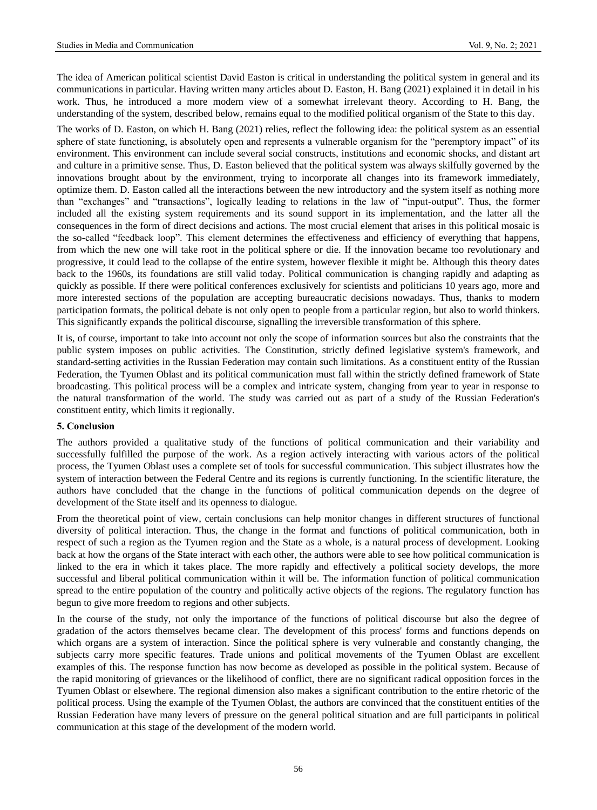The idea of American political scientist David Easton is critical in understanding the political system in general and its communications in particular. Having written many articles about D. Easton, H. Bang (2021) explained it in detail in his work. Thus, he introduced a more modern view of a somewhat irrelevant theory. According to H. Bang, the understanding of the system, described below, remains equal to the modified political organism of the State to this day.

The works of D. Easton, on which H. Bang (2021) relies, reflect the following idea: the political system as an essential sphere of state functioning, is absolutely open and represents a vulnerable organism for the "peremptory impact" of its environment. This environment can include several social constructs, institutions and economic shocks, and distant art and culture in a primitive sense. Thus, D. Easton believed that the political system was always skilfully governed by the innovations brought about by the environment, trying to incorporate all changes into its framework immediately, optimize them. D. Easton called all the interactions between the new introductory and the system itself as nothing more than "exchanges" and "transactions", logically leading to relations in the law of "input-output". Thus, the former included all the existing system requirements and its sound support in its implementation, and the latter all the consequences in the form of direct decisions and actions. The most crucial element that arises in this political mosaic is the so-called "feedback loop". This element determines the effectiveness and efficiency of everything that happens, from which the new one will take root in the political sphere or die. If the innovation became too revolutionary and progressive, it could lead to the collapse of the entire system, however flexible it might be. Although this theory dates back to the 1960s, its foundations are still valid today. Political communication is changing rapidly and adapting as quickly as possible. If there were political conferences exclusively for scientists and politicians 10 years ago, more and more interested sections of the population are accepting bureaucratic decisions nowadays. Thus, thanks to modern participation formats, the political debate is not only open to people from a particular region, but also to world thinkers. This significantly expands the political discourse, signalling the irreversible transformation of this sphere.

It is, of course, important to take into account not only the scope of information sources but also the constraints that the public system imposes on public activities. The Constitution, strictly defined legislative system's framework, and standard-setting activities in the Russian Federation may contain such limitations. As a constituent entity of the Russian Federation, the Tyumen Oblast and its political communication must fall within the strictly defined framework of State broadcasting. This political process will be a complex and intricate system, changing from year to year in response to the natural transformation of the world. The study was carried out as part of a study of the Russian Federation's constituent entity, which limits it regionally.

## **5. Conclusion**

The authors provided a qualitative study of the functions of political communication and their variability and successfully fulfilled the purpose of the work. As a region actively interacting with various actors of the political process, the Tyumen Oblast uses a complete set of tools for successful communication. This subject illustrates how the system of interaction between the Federal Centre and its regions is currently functioning. In the scientific literature, the authors have concluded that the change in the functions of political communication depends on the degree of development of the State itself and its openness to dialogue.

From the theoretical point of view, certain conclusions can help monitor changes in different structures of functional diversity of political interaction. Thus, the change in the format and functions of political communication, both in respect of such a region as the Tyumen region and the State as a whole, is a natural process of development. Looking back at how the organs of the State interact with each other, the authors were able to see how political communication is linked to the era in which it takes place. The more rapidly and effectively a political society develops, the more successful and liberal political communication within it will be. The information function of political communication spread to the entire population of the country and politically active objects of the regions. The regulatory function has begun to give more freedom to regions and other subjects.

In the course of the study, not only the importance of the functions of political discourse but also the degree of gradation of the actors themselves became clear. The development of this process' forms and functions depends on which organs are a system of interaction. Since the political sphere is very vulnerable and constantly changing, the subjects carry more specific features. Trade unions and political movements of the Tyumen Oblast are excellent examples of this. The response function has now become as developed as possible in the political system. Because of the rapid monitoring of grievances or the likelihood of conflict, there are no significant radical opposition forces in the Tyumen Oblast or elsewhere. The regional dimension also makes a significant contribution to the entire rhetoric of the political process. Using the example of the Tyumen Oblast, the authors are convinced that the constituent entities of the Russian Federation have many levers of pressure on the general political situation and are full participants in political communication at this stage of the development of the modern world.